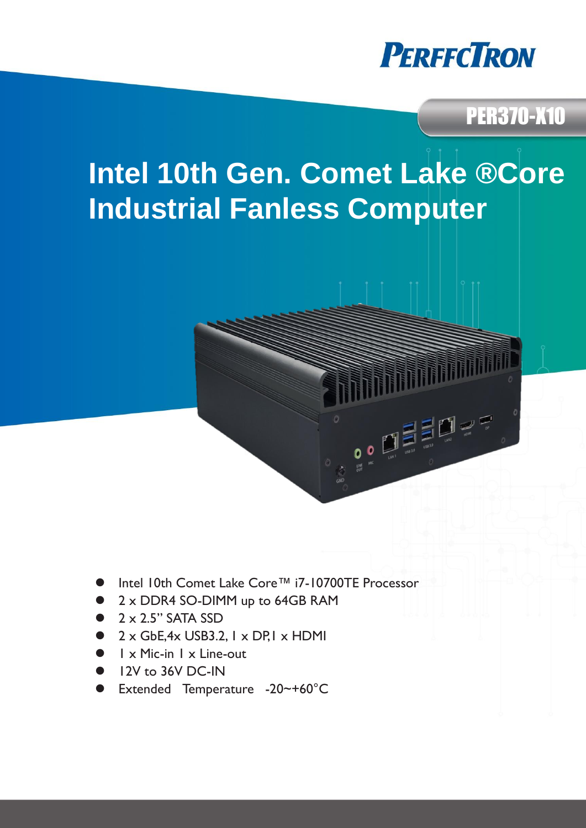

### PER370-X10

# **Intel 10th Gen. Comet Lake ® Core Industrial Fanless Computer**

- Intel 10th Comet Lake Core™ i7-10700TE Processor
- 2 x DDR4 SO-DIMM up to 64GB RAM
- $2 \times 2.5$ " SATA SSD
- $2 \times$  GbE, 4x USB3.2,  $1 \times$  DP,  $1 \times$  HDMI
- 1 x Mic-in 1 x Line-out
- 12V to 36V DC-IN
- Extended Temperature -20~+60°C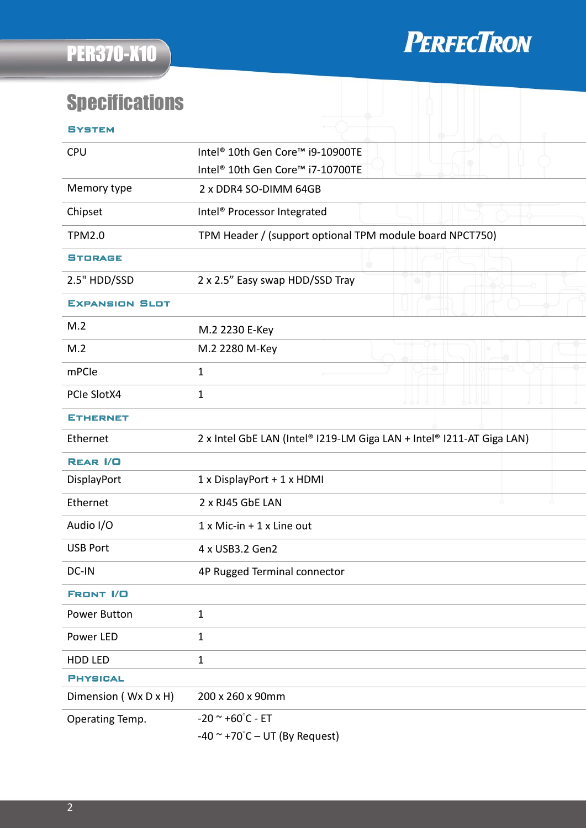

## **Specifications**

| SYSTEM                |                                                                       |
|-----------------------|-----------------------------------------------------------------------|
| <b>CPU</b>            | Intel <sup>®</sup> 10th Gen Core™ i9-10900TE                          |
|                       | Intel <sup>®</sup> 10th Gen Core <sup>™</sup> i7-10700TE              |
| Memory type           | 2 x DDR4 SO-DIMM 64GB                                                 |
| Chipset               | Intel <sup>®</sup> Processor Integrated                               |
| <b>TPM2.0</b>         | TPM Header / (support optional TPM module board NPCT750)              |
| <b>STORAGE</b>        |                                                                       |
| 2.5" HDD/SSD          | 2 x 2.5" Easy swap HDD/SSD Tray                                       |
| <b>EXPANSION SLOT</b> |                                                                       |
| M.2                   | M.2 2230 E-Key                                                        |
| M.2                   | M.2 2280 M-Key                                                        |
| mPCle                 | $\mathbf{1}$                                                          |
| PCIe SlotX4           | $\mathbf{1}$                                                          |
| <b>ETHERNET</b>       |                                                                       |
| Ethernet              | 2 x Intel GbE LAN (Intel® I219-LM Giga LAN + Intel® I211-AT Giga LAN) |
| <b>REAR I/O</b>       |                                                                       |
| DisplayPort           | 1 x DisplayPort + 1 x HDMI                                            |
| Ethernet              | 2 x RJ45 GbE LAN                                                      |
| Audio I/O             | $1 \times$ Mic-in + $1 \times$ Line out                               |
| <b>USB Port</b>       | 4 x USB3.2 Gen2                                                       |
| DC-IN                 | 4P Rugged Terminal connector                                          |
| <b>FRONT I/O</b>      |                                                                       |
| Power Button          | $\mathbf{1}$                                                          |
| Power LED             | $\mathbf{1}$                                                          |
| HDD LED               | $\mathbf 1$                                                           |
| <b>PHYSICAL</b>       |                                                                       |
| Dimension (Wx D x H)  | 200 x 260 x 90mm                                                      |
| Operating Temp.       | $-20$ $\sim$ $+60^{\circ}$ C - ET                                     |
|                       | $-40$ ~ +70°C – UT (By Request)                                       |